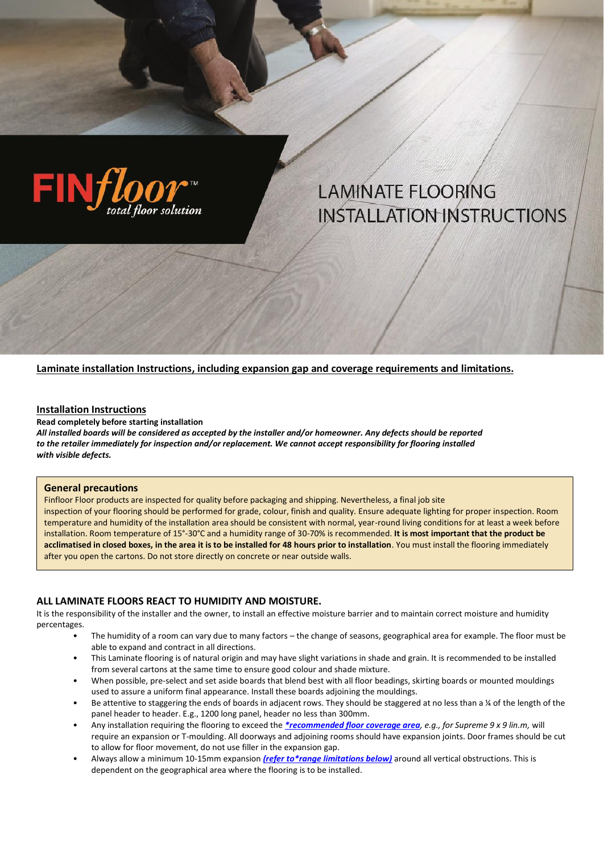

# **LAMINATE FLOORING INSTALLATION INSTRUCTIONS**

**Laminate installation Instructions, including expansion gap and coverage requirements and limitations.**

#### **Installation Instructions**

**Read completely before starting installation**

*All installed boards will be considered as accepted by the installer and/or homeowner. Any defects should be reported to the retailer immediately for inspection and/or replacement. We cannot accept responsibility for flooring installed with visible defects.*

#### **General precautions**

Finfloor Floor products are inspected for quality before packaging and shipping. Nevertheless, a final job site inspection of your flooring should be performed for grade, colour, finish and quality. Ensure adequate lighting for proper inspection. Room temperature and humidity of the installation area should be consistent with normal, year-round living conditions for at least a week before installation. Room temperature of 15°-30°C and a humidity range of 30-70% is recommended. **It is most important that the product be acclimatised in closed boxes, in the area it is to be installed for 48 hours prior to installation**. You must install the flooring immediately after you open the cartons. Do not store directly on concrete or near outside walls.

#### **ALL LAMINATE FLOORS REACT TO HUMIDITY AND MOISTURE.**

It is the responsibility of the installer and the owner, to install an effective moisture barrier and to maintain correct moisture and humidity percentages.

- The humidity of a room can vary due to many factors the change of seasons, geographical area for example. The floor must be able to expand and contract in all directions.
- This Laminate flooring is of natural origin and may have slight variations in shade and grain. It is recommended to be installed from several cartons at the same time to ensure good colour and shade mixture.
- When possible, pre-select and set aside boards that blend best with all floor beadings, skirting boards or mounted mouldings used to assure a uniform final appearance. Install these boards adjoining the mouldings.
- Be attentive to staggering the ends of boards in adjacent rows. They should be staggered at no less than a ¼ of the length of the panel header to header. E.g., 1200 long panel, header no less than 300mm.
- Any installation requiring the flooring to exceed the *[\\*recommended floor coverage area](#page-3-0), e.g., for Supreme 9 x 9 lin.m,* will require an expansion or T-moulding. All doorways and adjoining rooms should have expansion joints. Door frames should be cut to allow for floor movement, do not use filler in the expansion gap.
- Always allow a minimum 10-15mm expansion *[\(refer to\\*range limitations below\)](#page-3-0)* around all vertical obstructions. This is dependent on the geographical area where the flooring is to be installed.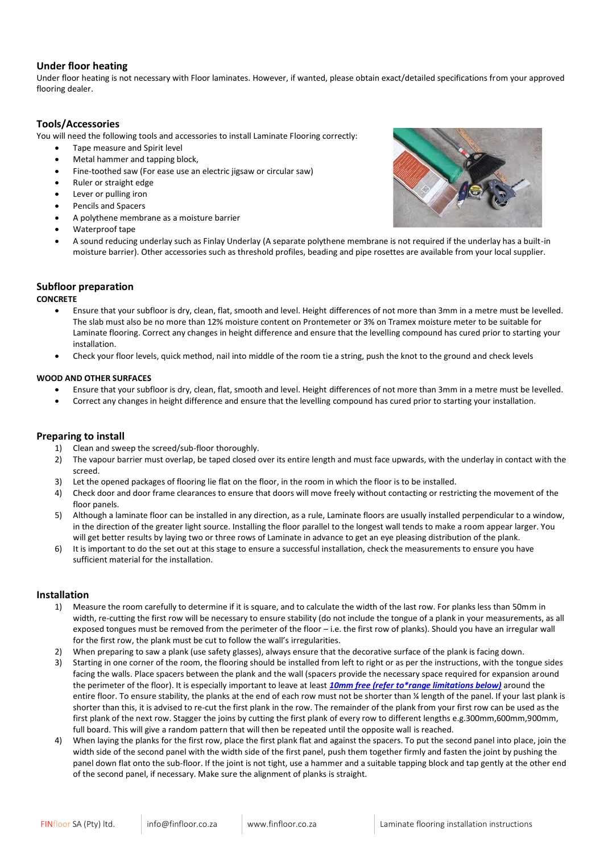## **Under floor heating**

Under floor heating is not necessary with Floor laminates. However, if wanted, please obtain exact/detailed specifications from your approved flooring dealer.

### **Tools/Accessories**

You will need the following tools and accessories to install Laminate Flooring correctly:

- Tape measure and Spirit level
- Metal hammer and tapping block,
- Fine-toothed saw (For ease use an electric jigsaw or circular saw)
- Ruler or straight edge
- Lever or pulling iron
- Pencils and Spacers
- A polythene membrane as a moisture barrier
- Waterproof tape
- A sound reducing underlay such as Finlay Underlay (A separate polythene membrane is not required if the underlay has a built-in moisture barrier). Other accessories such as threshold profiles, beading and pipe rosettes are available from your local supplier.

# **Subfloor preparation**

#### **CONCRETE**

- Ensure that your subfloor is dry, clean, flat, smooth and level. Height differences of not more than 3mm in a metre must be levelled. The slab must also be no more than 12% moisture content on Prontemeter or 3% on Tramex moisture meter to be suitable for Laminate flooring. Correct any changes in height difference and ensure that the levelling compound has cured prior to starting your installation.
- Check your floor levels, quick method, nail into middle of the room tie a string, push the knot to the ground and check levels

#### **WOOD AND OTHER SURFACES**

- Ensure that your subfloor is dry, clean, flat, smooth and level. Height differences of not more than 3mm in a metre must be levelled.
- Correct any changes in height difference and ensure that the levelling compound has cured prior to starting your installation.

## **Preparing to install**

- 1) Clean and sweep the screed/sub-floor thoroughly.
- 2) The vapour barrier must overlap, be taped closed over its entire length and must face upwards, with the underlay in contact with the screed.
- 3) Let the opened packages of flooring lie flat on the floor, in the room in which the floor is to be installed.
- 4) Check door and door frame clearances to ensure that doors will move freely without contacting or restricting the movement of the floor panels.
- 5) Although a laminate floor can be installed in any direction, as a rule, Laminate floors are usually installed perpendicular to a window, in the direction of the greater light source. Installing the floor parallel to the longest wall tends to make a room appear larger. You will get better results by laying two or three rows of Laminate in advance to get an eye pleasing distribution of the plank.
- 6) It is important to do the set out at this stage to ensure a successful installation, check the measurements to ensure you have sufficient material for the installation.

#### **Installation**

- 1) Measure the room carefully to determine if it is square, and to calculate the width of the last row. For planks less than 50mm in width, re-cutting the first row will be necessary to ensure stability (do not include the tongue of a plank in your measurements, as all exposed tongues must be removed from the perimeter of the floor – i.e. the first row of planks). Should you have an irregular wall for the first row, the plank must be cut to follow the wall's irregularities.
- 2) When preparing to saw a plank (use safety glasses), always ensure that the decorative surface of the plank is facing down.
- 3) Starting in one corner of the room, the flooring should be installed from left to right or as per the instructions, with the tongue sides facing the walls. Place spacers between the plank and the wall (spacers provide the necessary space required for expansion around the perimeter of the floor). It is especially important to leave at least *10mm free [\(refer to\\*range limitations below\)](#page-3-0)* around the entire floor. To ensure stability, the planks at the end of each row must not be shorter than ¼ length of the panel. If your last plank is shorter than this, it is advised to re-cut the first plank in the row. The remainder of the plank from your first row can be used as the first plank of the next row. Stagger the joins by cutting the first plank of every row to different lengths e.g.300mm,600mm,900mm, full board. This will give a random pattern that will then be repeated until the opposite wall is reached.
- 4) When laying the planks for the first row, place the first plank flat and against the spacers. To put the second panel into place, join the width side of the second panel with the width side of the first panel, push them together firmly and fasten the joint by pushing the panel down flat onto the sub-floor. If the joint is not tight, use a hammer and a suitable tapping block and tap gently at the other end of the second panel, if necessary. Make sure the alignment of planks is straight.

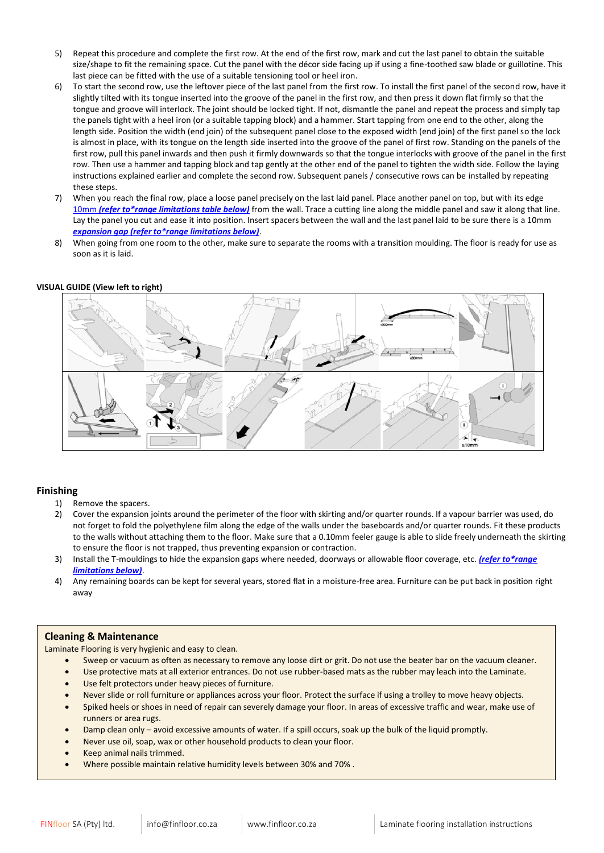- 5) Repeat this procedure and complete the first row. At the end of the first row, mark and cut the last panel to obtain the suitable size/shape to fit the remaining space. Cut the panel with the décor side facing up if using a fine-toothed saw blade or guillotine. This last piece can be fitted with the use of a suitable tensioning tool or heel iron.
- 6) To start the second row, use the leftover piece of the last panel from the first row. To install the first panel of the second row, have it slightly tilted with its tongue inserted into the groove of the panel in the first row, and then press it down flat firmly so that the tongue and groove will interlock. The joint should be locked tight. If not, dismantle the panel and repeat the process and simply tap the panels tight with a heel iron (or a suitable tapping block) and a hammer. Start tapping from one end to the other, along the length side. Position the width (end join) of the subsequent panel close to the exposed width (end join) of the first panel so the lock is almost in place, with its tongue on the length side inserted into the groove of the panel of first row. Standing on the panels of the first row, pull this panel inwards and then push it firmly downwards so that the tongue interlocks with groove of the panel in the first row. Then use a hammer and tapping block and tap gently at the other end of the panel to tighten the width side. Follow the laying instructions explained earlier and complete the second row. Subsequent panels / consecutive rows can be installed by repeating these steps.
- 7) When you reach the final row, place a loose panel precisely on the last laid panel. Place another panel on top, but with its edge 10mm *[\(refer to\\*range limitations table below\)](#page-3-0)* from the wall. Trace a cutting line along the middle panel and saw it along that line. Lay the panel you cut and ease it into position. Insert spacers between the wall and the last panel laid to be sure there is a 10mm *[expansion gap \(refer to\\*range limitations below\)](#page-3-0)*.
- 8) When going from one room to the other, make sure to separate the rooms with a transition moulding. The floor is ready for use as soon as it is laid.

#### **VISUAL GUIDE (View left to right)**



#### **Finishing**

- 1) Remove the spacers.
- 2) Cover the expansion joints around the perimeter of the floor with skirting and/or quarter rounds. If a vapour barrier was used, do not forget to fold the polyethylene film along the edge of the walls under the baseboards and/or quarter rounds. Fit these products to the walls without attaching them to the floor. Make sure that a 0.10mm feeler gauge is able to slide freely underneath the skirting to ensure the floor is not trapped, thus preventing expansion or contraction.
- 3) Install the T-mouldings to hide the expansion gaps where needed, doorways or allowable floor coverage, etc. *[\(refer to\\*range](#page-3-0)  [limitations below\)](#page-3-0)*.
- 4) Any remaining boards can be kept for several years, stored flat in a moisture-free area. Furniture can be put back in position right away

#### **Cleaning & Maintenance**

Laminate Flooring is very hygienic and easy to clean.

- Sweep or vacuum as often as necessary to remove any loose dirt or grit. Do not use the beater bar on the vacuum cleaner.
- Use protective mats at all exterior entrances. Do not use rubber-based mats as the rubber may leach into the Laminate.
- Use felt protectors under heavy pieces of furniture.
- Never slide or roll furniture or appliances across your floor. Protect the surface if using a trolley to move heavy objects.
- Spiked heels or shoes in need of repair can severely damage your floor. In areas of excessive traffic and wear, make use of runners or area rugs.
- Damp clean only avoid excessive amounts of water. If a spill occurs, soak up the bulk of the liquid promptly.
- Never use oil, soap, wax or other household products to clean your floor.
- Keep animal nails trimmed.
- Where possible maintain relative humidity levels between 30% and 70% .